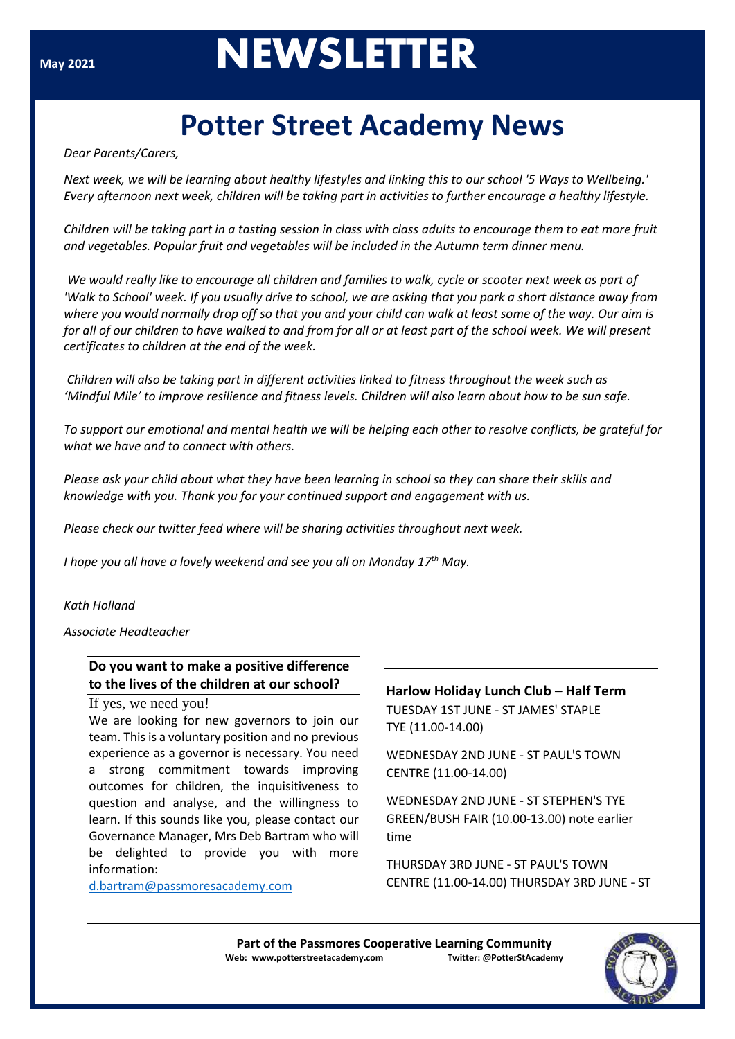# **MAY 2021**<br>**NEWSLETTER**

# **Potter Street Academy News**

*Dear Parents/Carers,*

*Next week, we will be learning about healthy lifestyles and linking this to our school '5 Ways to Wellbeing.' Every afternoon next week, children will be taking part in activities to further encourage a healthy lifestyle.*

*Children will be taking part in a tasting session in class with class adults to encourage them to eat more fruit and vegetables. Popular fruit and vegetables will be included in the Autumn term dinner menu.*

*'Walk to School' week. If you usually drive to school, we are asking that you park a short distance away from* where you would normally drop off so that you and your child can walk at least some of the way. Our aim is via [www.harlowlunch.org.uk](http://www.harlowlunch.org.uk/) *for all of our children to have walked to and from for all or at least part of the school week. We will present We would really like to encourage all children and families to walk, cycle or scooter next week as part of certificates to children at the end of the week.*

*Children will also be taking part in different activities linked to fitness throughout the week such as 'Mindful Mile' to improve resilience and fitness levels. Children will also learn about how to be sun safe.*

To support our emotional and mental health we will be helping each other to resolve conflicts, be grateful for *what we have and to connect with others.*

Please ask your child about what they have been learning in school so they can share their skills and *knowledge with you. Thank you for your continued support and engagement with us.*

*Please check our twitter feed where will be sharing activities throughout next week.*

*I hope you all have a lovely weekend and see you all on Monday 17th May.*

*Kath Holland*

*Associate Headteacher*

## **Do you want to make a positive difference to the lives of the children at our school?**

If yes, we need you!

We are looking for new governors to join our team. This is a voluntary position and no previous experience as a governor is necessary. You need a strong commitment towards improving outcomes for children, the inquisitiveness to question and analyse, and the willingness to learn. If this sounds like you, please contact our Governance Manager, Mrs Deb Bartram who will be delighted to provide you with more information:

[d.bartram@passmoresacademy.com](mailto:d.bartram@passmoresacademy.com)

### **Harlow Holiday Lunch Club – Half Term**

TUESDAY 1ST JUNE - ST JAMES' STAPLE TYE (11.00-14.00)

WEDNESDAY 2ND JUNE - ST PAUL'S TOWN CENTRE (11.00-14.00)

WEDNESDAY 2ND JUNE - ST STEPHEN'S TYE GREEN/BUSH FAIR (10.00-13.00) note earlier time

THURSDAY 3RD JUNE - ST PAUL'S TOWN CENTRE (11.00-14.00) THURSDAY 3RD JUNE - ST

**Part of the Passmores Cooperative Learning Community Web: www.potterstreetacademy.com Twitter: @PotterStAcademy**